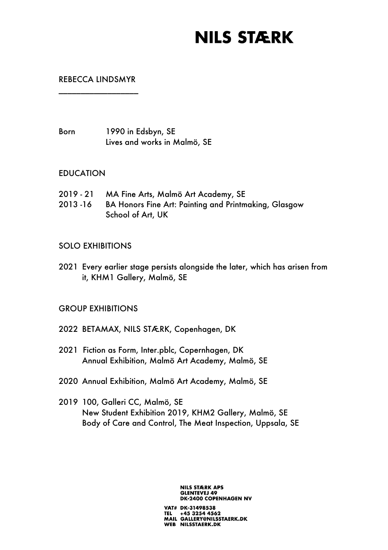## **NILS STÆRK**

## REBECCA LINDSMYR \_\_\_\_\_\_\_\_\_\_\_\_\_\_\_\_\_\_

Born 1990 in Edsbyn, SE Lives and works in Malmö, SE

#### EDUCATION

- 2019 21 MA Fine Arts, Malmö Art Academy, SE
- 2013 -16 BA Honors Fine Art: Painting and Printmaking, Glasgow School of Art, UK

### SOLO EXHIBITIONS

2021 Every earlier stage persists alongside the later, which has arisen from it, KHM1 Gallery, Malmö, SE

### GROUP EXHIBITIONS

- 2022 BETAMAX, NILS STÆRK, Copenhagen, DK
- 2021 Fiction as Form, Inter.pblc, Copernhagen, DK Annual Exhibition, Malmö Art Academy, Malmö, SE
- 2020 Annual Exhibition, Malmö Art Academy, Malmö, SE
- 2019 100, Galleri CC, Malmö, SE New Student Exhibition 2019, KHM2 Gallery, Malmö, SE Body of Care and Control, The Meat Inspection, Uppsala, SE

**NILS STÆRK APS GLENTEVEJ 49 DK-2400 COPENHAGEN NV** VAT# DK-31498538

TEL +45 3254 4562<br>MAIL GALLERY@NILSSTAERK.DK WEB NILSSTAERK.DK